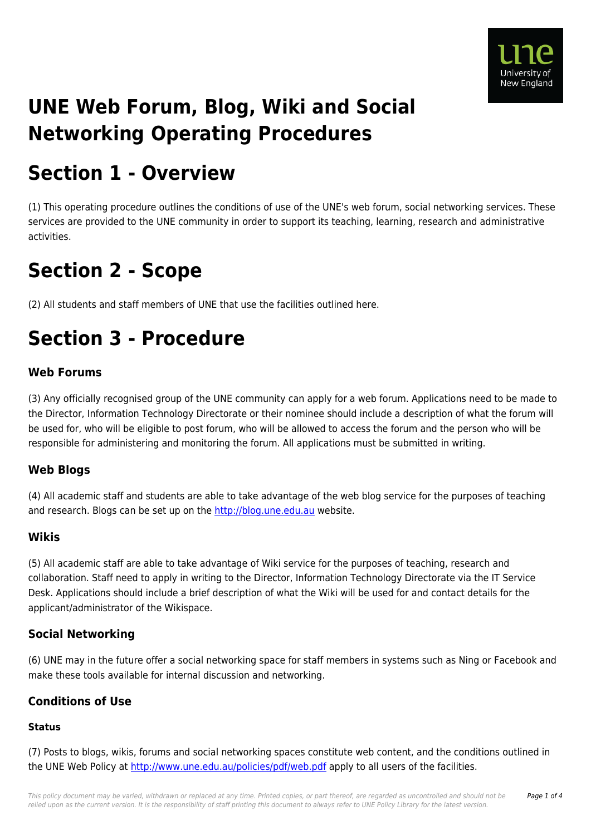

# **UNE Web Forum, Blog, Wiki and Social Networking Operating Procedures**

# **Section 1 - Overview**

(1) This operating procedure outlines the conditions of use of the UNE's web forum, social networking services. These services are provided to the UNE community in order to support its teaching, learning, research and administrative activities.

# **Section 2 - Scope**

(2) All students and staff members of UNE that use the facilities outlined here.

# **Section 3 - Procedure**

### **Web Forums**

(3) Any officially recognised group of the UNE community can apply for a web forum. Applications need to be made to the Director, Information Technology Directorate or their nominee should include a description of what the forum will be used for, who will be eligible to post forum, who will be allowed to access the forum and the person who will be responsible for administering and monitoring the forum. All applications must be submitted in writing.

### **Web Blogs**

(4) All academic staff and students are able to take advantage of the web blog service for the purposes of teaching and research. Blogs can be set up on the<http://blog.une.edu.au>website.

### **Wikis**

(5) All academic staff are able to take advantage of Wiki service for the purposes of teaching, research and collaboration. Staff need to apply in writing to the Director, Information Technology Directorate via the IT Service Desk. Applications should include a brief description of what the Wiki will be used for and contact details for the applicant/administrator of the Wikispace.

## **Social Networking**

(6) UNE may in the future offer a social networking space for staff members in systems such as Ning or Facebook and make these tools available for internal discussion and networking.

### **Conditions of Use**

## **Status**

(7) Posts to blogs, wikis, forums and social networking spaces constitute web content, and the conditions outlined in the UNE Web Policy at <http://www.une.edu.au/policies/pdf/web.pdf>apply to all users of the facilities.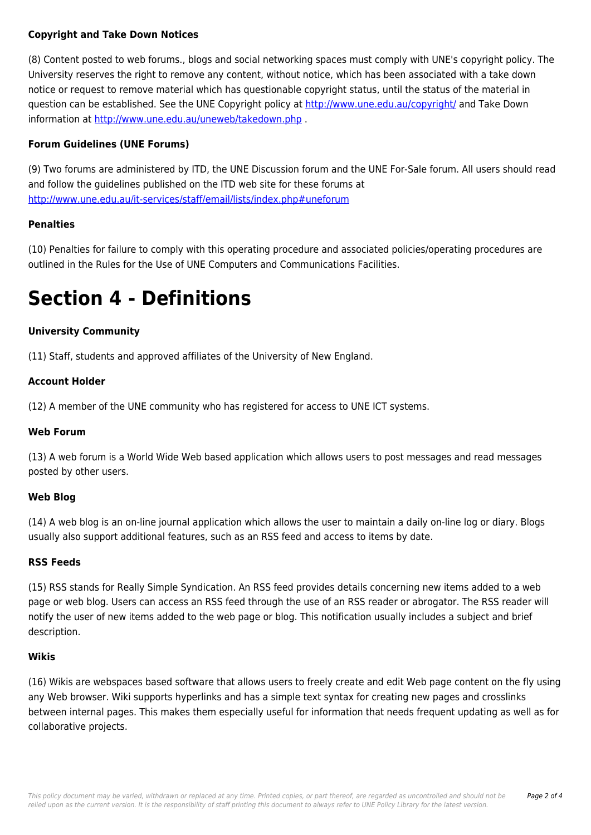#### **Copyright and Take Down Notices**

(8) Content posted to web forums., blogs and social networking spaces must comply with UNE's copyright policy. The University reserves the right to remove any content, without notice, which has been associated with a take down notice or request to remove material which has questionable copyright status, until the status of the material in question can be established. See the UNE Copyright policy at <http://www.une.edu.au/copyright/>and Take Down information at<http://www.une.edu.au/uneweb/takedown.php> .

#### **Forum Guidelines (UNE Forums)**

(9) Two forums are administered by ITD, the UNE Discussion forum and the UNE For-Sale forum. All users should read and follow the guidelines published on the ITD web site for these forums at <http://www.une.edu.au/it-services/staff/email/lists/index.php#uneforum>

#### **Penalties**

(10) Penalties for failure to comply with this operating procedure and associated policies/operating procedures are outlined in the Rules for the Use of UNE Computers and Communications Facilities.

# **Section 4 - Definitions**

#### **University Community**

(11) Staff, students and approved affiliates of the University of New England.

#### **Account Holder**

(12) A member of the UNE community who has registered for access to UNE ICT systems.

#### **Web Forum**

(13) A web forum is a World Wide Web based application which allows users to post messages and read messages posted by other users.

#### **Web Blog**

(14) A web blog is an on-line journal application which allows the user to maintain a daily on-line log or diary. Blogs usually also support additional features, such as an RSS feed and access to items by date.

#### **RSS Feeds**

(15) RSS stands for Really Simple Syndication. An RSS feed provides details concerning new items added to a web page or web blog. Users can access an RSS feed through the use of an RSS reader or abrogator. The RSS reader will notify the user of new items added to the web page or blog. This notification usually includes a subject and brief description.

#### **Wikis**

(16) Wikis are webspaces based software that allows users to freely create and edit Web page content on the fly using any Web browser. Wiki supports hyperlinks and has a simple text syntax for creating new pages and crosslinks between internal pages. This makes them especially useful for information that needs frequent updating as well as for collaborative projects.